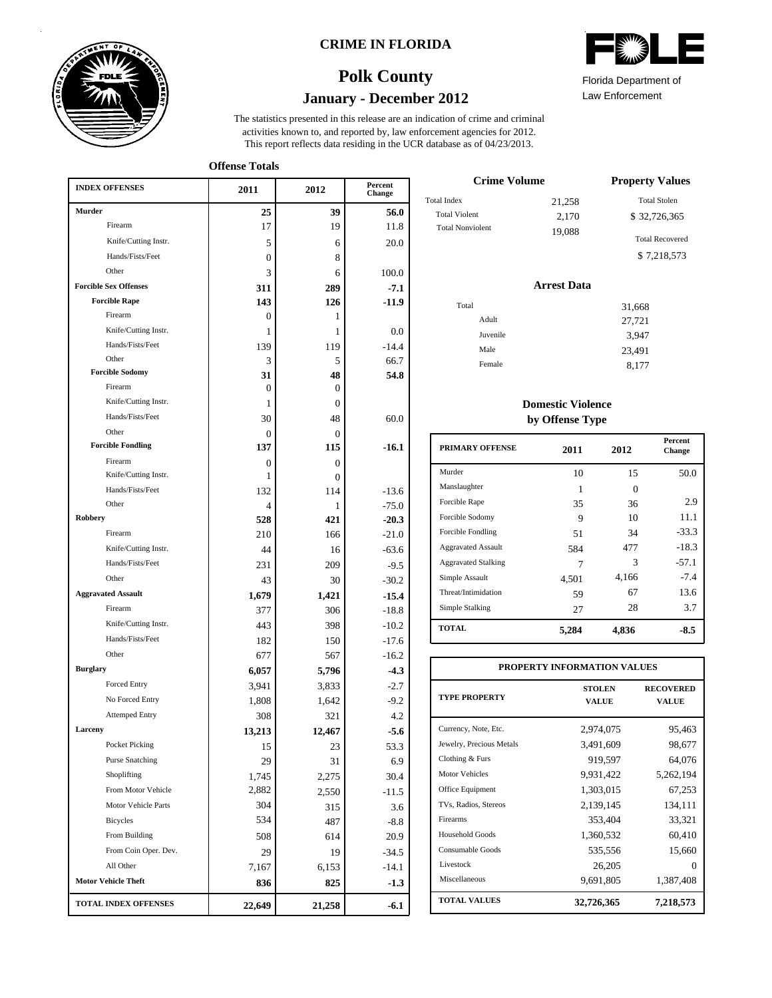

### **CRIME IN FLORIDA**

# **January - December 2012 Polk County**

This report reflects data residing in the UCR database as of 04/23/2013. activities known to, and reported by, law enforcement agencies for 2012. The statistics presented in this release are an indication of crime and criminal

**Offense Totals**

| <b>INDEX OFFENSES</b>        | 2011   | 2012             | Percent<br>Change |
|------------------------------|--------|------------------|-------------------|
| Murder                       | 25     | 39               | 56.0              |
| Firearm                      | 17     | 19               | 11.8              |
| Knife/Cutting Instr.         | 5      | 6                | 20.0              |
| Hands/Fists/Feet             | 0      | 8                |                   |
| Other                        | 3      | 6                | 100.0             |
| <b>Forcible Sex Offenses</b> | 311    | 289              | $-7.1$            |
| <b>Forcible Rape</b>         | 143    | 126              | -11.9             |
| Firearm                      | 0      | 1                |                   |
| Knife/Cutting Instr.         | 1      | 1                | 0.0               |
| Hands/Fists/Feet             | 139    | 119              | $-14.4$           |
| Other                        | 3      | 5                | 66.7              |
| <b>Forcible Sodomy</b>       | 31     | 48               | 54.8              |
| Firearm                      | 0      | $\boldsymbol{0}$ |                   |
| Knife/Cutting Instr.         | 1      | $\overline{0}$   |                   |
| Hands/Fists/Feet             | 30     | 48               | 60.0              |
| Other                        | 0      | 0                |                   |
| <b>Forcible Fondling</b>     | 137    | 115              | $-16.1$           |
| Firearm                      | 0      | $\theta$         |                   |
| Knife/Cutting Instr.         | 1      | $\Omega$         |                   |
| Hands/Fists/Feet             | 132    | 114              | $-13.6$           |
| Other                        | 4      | 1                | $-75.0$           |
| Robbery                      | 528    | 421              | $-20.3$           |
| Firearm                      | 210    | 166              | $-21.0$           |
| Knife/Cutting Instr.         | 44     | 16               | $-63.6$           |
| Hands/Fists/Feet             | 231    | 209              | $-9.5$            |
| Other                        | 43     | 30               | $-30.2$           |
| <b>Aggravated Assault</b>    | 1,679  | 1,421            | $-15.4$           |
| Firearm                      | 377    | 306              | $-18.8$           |
| Knife/Cutting Instr.         | 443    | 398              | $-10.2$           |
| Hands/Fists/Feet             | 182    | 150              | $-17.6$           |
| Other                        | 677    | 567              | $-16.2$           |
| <b>Burglary</b>              | 6,057  | 5,796            | $-4.3$            |
| <b>Forced Entry</b>          | 3,941  | 3,833            | $-2.7$            |
| No Forced Entry              | 1,808  | 1,642            | $-9.2$            |
| <b>Attemped Entry</b>        | 308    | 321              | 4.2               |
| Larceny                      | 13,213 | 12,467           | $-5.6$            |
| Pocket Picking               | 15     | 23               | 53.3              |
| <b>Purse Snatching</b>       | 29     | 31               | 6.9               |
| Shoplifting                  | 1,745  | 2,275            | 30.4              |
| From Motor Vehicle           | 2,882  | 2,550            | $-11.5$           |
| Motor Vehicle Parts          | 304    | 315              | 3.6               |
| <b>Bicycles</b>              | 534    | 487              | $-8.8$            |
| From Building                | 508    | 614              | 20.9              |
| From Coin Oper. Dev.         | 29     | 19               | -34.5             |
| All Other                    | 7,167  | 6,153            | -14.1             |
| <b>Motor Vehicle Theft</b>   | 836    | 825              | $-1.3$            |
| TOTAL INDEX OFFENSES         | 22,649 | 21,258           | $-6.1$            |

| Florida Department of |  |
|-----------------------|--|

Law Enforcement

| <b>Crime Volume</b>     | <b>Property Values</b> |                        |
|-------------------------|------------------------|------------------------|
| Total Index             | 21,258                 | <b>Total Stolen</b>    |
| <b>Total Violent</b>    | 2,170                  | \$32,726,365           |
| <b>Total Nonviolent</b> | 19,088                 | <b>Total Recovered</b> |
|                         |                        | \$7,218,573            |

### **Arrest Data**

| Total    | 31,668 |
|----------|--------|
| Adult    |        |
|          | 27,721 |
| Juvenile | 3,947  |
| Male     | 23,491 |
| Female   | 8,177  |
|          |        |

### **Domestic Violence by Offense Type**

| <b>PRIMARY OFFENSE</b>     | 2011  | 2012     | <b>Percent</b><br>Change |
|----------------------------|-------|----------|--------------------------|
| Murder                     | 10    | 15       | 50.0                     |
| Manslaughter               | 1     | $\Omega$ |                          |
| Forcible Rape              | 35    | 36       | 2.9                      |
| Forcible Sodomy            | 9     | 10       | 11.1                     |
| Forcible Fondling          | 51    | 34       | $-33.3$                  |
| <b>Aggravated Assault</b>  | 584   | 477      | $-18.3$                  |
| <b>Aggravated Stalking</b> | 7     | 3        | $-57.1$                  |
| Simple Assault             | 4,501 | 4,166    | $-7.4$                   |
| Threat/Intimidation        | 59    | 67       | 13.6                     |
| Simple Stalking            | 27    | 28       | 3.7                      |
| <b>TOTAL</b>               | 5,284 | 4,836    | -8.5                     |

| PROPERTY INFORMATION VALUES |                               |                           |  |  |  |  |  |
|-----------------------------|-------------------------------|---------------------------|--|--|--|--|--|
| <b>TYPE PROPERTY</b>        | <b>STOLEN</b><br><b>VALUE</b> | <b>RECOVERED</b><br>VALUE |  |  |  |  |  |
| Currency, Note, Etc.        | 2,974,075                     | 95,463                    |  |  |  |  |  |
| Jewelry, Precious Metals    | 3,491,609                     | 98,677                    |  |  |  |  |  |
| Clothing & Furs             | 919,597                       | 64,076                    |  |  |  |  |  |
| Motor Vehicles              | 9,931,422                     | 5,262,194                 |  |  |  |  |  |
| Office Equipment            | 1,303,015                     | 67,253                    |  |  |  |  |  |
| TVs, Radios, Stereos        | 2,139,145                     | 134,111                   |  |  |  |  |  |
| Firearms                    | 353,404                       | 33,321                    |  |  |  |  |  |
| Household Goods             | 1,360,532                     | 60,410                    |  |  |  |  |  |
| Consumable Goods            | 535,556                       | 15,660                    |  |  |  |  |  |
| Livestock                   | 26,205                        | $\mathbf{0}$              |  |  |  |  |  |
| Miscellaneous               | 9,691,805                     | 1,387,408                 |  |  |  |  |  |
| <b>TOTAL VALUES</b>         | 32,726,365                    | 7,218,573                 |  |  |  |  |  |